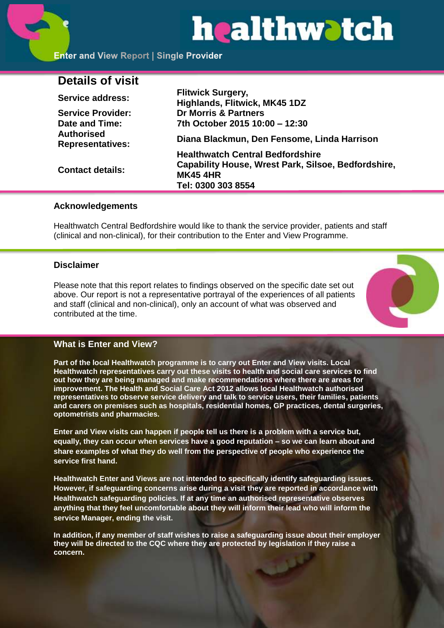# healthwatch

# **Details of visit**

| Service address:                             | <b>Flitwick Surgery,</b><br>Highlands, Flitwick, MK45 1DZ                                                                               |
|----------------------------------------------|-----------------------------------------------------------------------------------------------------------------------------------------|
| <b>Service Provider:</b>                     | <b>Dr Morris &amp; Partners</b>                                                                                                         |
| Date and Time:                               | 7th October 2015 10:00 - 12:30                                                                                                          |
| <b>Authorised</b><br><b>Representatives:</b> | Diana Blackmun, Den Fensome, Linda Harrison                                                                                             |
| <b>Contact details:</b>                      | <b>Healthwatch Central Bedfordshire</b><br>Capability House, Wrest Park, Silsoe, Bedfordshire,<br><b>MK45 4HR</b><br>Tel: 0300 303 8554 |
|                                              |                                                                                                                                         |

## **Acknowledgements**

Healthwatch Central Bedfordshire would like to thank the service provider, patients and staff (clinical and non-clinical), for their contribution to the Enter and View Programme.

# **Disclaimer**

Please note that this report relates to findings observed on the specific date set out above. Our report is not a representative portrayal of the experiences of all patients and staff (clinical and non-clinical), only an account of what was observed and contributed at the time.



# **What is Enter and View?**

**Part of the local Healthwatch programme is to carry out Enter and View visits. Local Healthwatch representatives carry out these visits to health and social care services to find out how they are being managed and make recommendations where there are areas for improvement. The Health and Social Care Act 2012 allows local Healthwatch authorised representatives to observe service delivery and talk to service users, their families, patients and carers on premises such as hospitals, residential homes, GP practices, dental surgeries, optometrists and pharmacies.** 

**Enter and View visits can happen if people tell us there is a problem with a service but, equally, they can occur when services have a good reputation – so we can learn about and share examples of what they do well from the perspective of people who experience the service first hand.**

**Healthwatch Enter and Views are not intended to specifically identify safeguarding issues. However, if safeguarding concerns arise during a visit they are reported in accordance with Healthwatch safeguarding policies. If at any time an authorised representative observes anything that they feel uncomfortable about they will inform their lead who will inform the service Manager, ending the visit.** 

**In addition, if any member of staff wishes to raise a safeguarding issue about their employer they will be directed to the CQC where they are protected by legislation if they raise a concern.**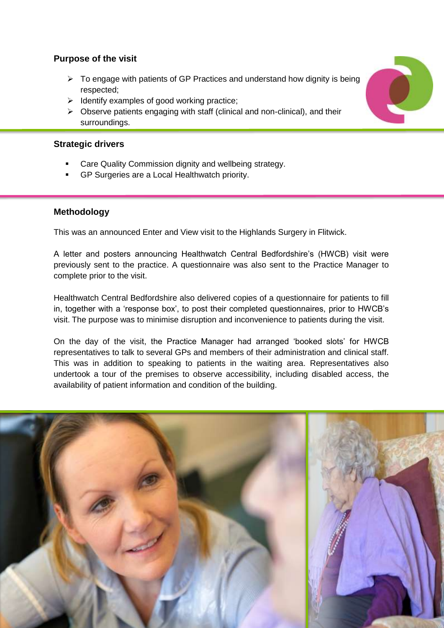# **Purpose of the visit**

- $\triangleright$  To engage with patients of GP Practices and understand how dignity is being respected;
- $\triangleright$  Identify examples of good working practice;
- $\triangleright$  Observe patients engaging with staff (clinical and non-clinical), and their surroundings.

# **Strategic drivers**

- Care Quality Commission dignity and wellbeing strategy.
- GP Surgeries are a Local Healthwatch priority.

# **Methodology**

This was an announced Enter and View visit to the Highlands Surgery in Flitwick.

A letter and posters announcing Healthwatch Central Bedfordshire's (HWCB) visit were previously sent to the practice. A questionnaire was also sent to the Practice Manager to complete prior to the visit.

Healthwatch Central Bedfordshire also delivered copies of a questionnaire for patients to fill in, together with a 'response box', to post their completed questionnaires, prior to HWCB's visit. The purpose was to minimise disruption and inconvenience to patients during the visit.

On the day of the visit, the Practice Manager had arranged 'booked slots' for HWCB representatives to talk to several GPs and members of their administration and clinical staff. This was in addition to speaking to patients in the waiting area. Representatives also undertook a tour of the premises to observe accessibility, including disabled access, the availability of patient information and condition of the building.



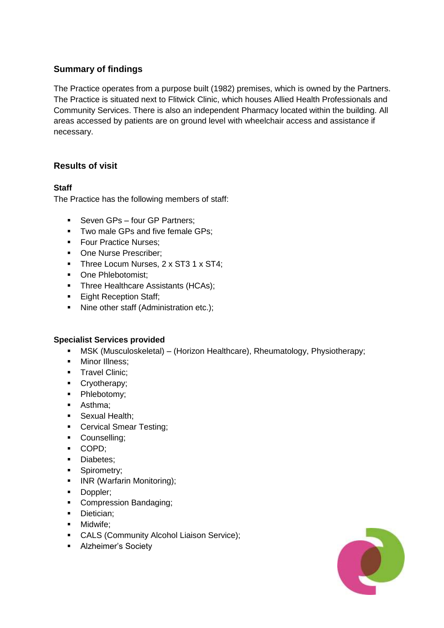# **Summary of findings**

The Practice operates from a purpose built (1982) premises, which is owned by the Partners. The Practice is situated next to Flitwick Clinic, which houses Allied Health Professionals and Community Services. There is also an independent Pharmacy located within the building. All areas accessed by patients are on ground level with wheelchair access and assistance if necessary.

# **Results of visit**

## **Staff**

The Practice has the following members of staff:

- Seven GPs four GP Partners;
- **Two male GPs and five female GPs;**
- **Four Practice Nurses:**
- One Nurse Prescriber:
- Three Locum Nurses, 2 x ST3 1 x ST4;
- One Phlebotomist:
- Three Healthcare Assistants (HCAs);
- **Eight Reception Staff;**
- Nine other staff (Administration etc.);

#### **Specialist Services provided**

- MSK (Musculoskeletal) (Horizon Healthcare), Rheumatology, Physiotherapy;
- **Minor Illness;**
- **Travel Clinic:**
- Cryotherapy;
- Phlebotomy;
- **Asthma**;
- **Sexual Health;**
- **Cervical Smear Testing;**
- Counselling;
- COPD;
- **Diabetes**;
- **Spirometry;**
- **INR (Warfarin Monitoring);**
- **-** Doppler;
- Compression Bandaging;
- **Dietician:**
- Midwife;
- **CALS (Community Alcohol Liaison Service):**
- **Alzheimer's Society**

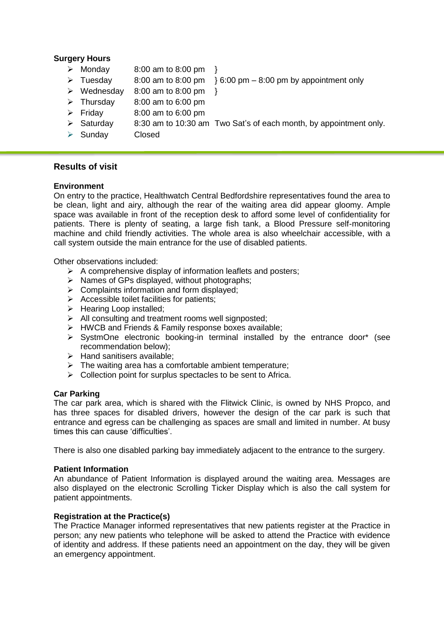#### **Surgery Hours**

- $\triangleright$  Monday 8:00 am to 8:00 pm  $\}$
- Tuesday 8:00 am to 8:00 pm  $\}$  6:00 pm 8:00 pm by appointment only
- $\triangleright$  Wednesday 8:00 am to 8:00 pm }
- $\triangleright$  Thursday 8:00 am to 6:00 pm
- $\triangleright$  Friday 8:00 am to 6:00 pm
- $\triangleright$  Saturday 8:30 am to 10:30 am Two Sat's of each month, by appointment only.
- > Sunday Closed

## **Results of visit**

#### **Environment**

On entry to the practice, Healthwatch Central Bedfordshire representatives found the area to be clean, light and airy, although the rear of the waiting area did appear gloomy. Ample space was available in front of the reception desk to afford some level of confidentiality for patients. There is plenty of seating, a large fish tank, a Blood Pressure self-monitoring machine and child friendly activities. The whole area is also wheelchair accessible, with a call system outside the main entrance for the use of disabled patients.

Other observations included:

- $\triangleright$  A comprehensive display of information leaflets and posters;
- $\triangleright$  Names of GPs displayed, without photographs;
- $\triangleright$  Complaints information and form displayed;
- $\triangleright$  Accessible toilet facilities for patients;
- $\triangleright$  Hearing Loop installed:
- $\triangleright$  All consulting and treatment rooms well signposted;
- $\triangleright$  HWCB and Friends & Family response boxes available;
- $\triangleright$  SystmOne electronic booking-in terminal installed by the entrance door\* (see recommendation below);
- $\triangleright$  Hand sanitisers available:
- $\triangleright$  The waiting area has a comfortable ambient temperature;
- $\triangleright$  Collection point for surplus spectacles to be sent to Africa.

#### **Car Parking**

The car park area, which is shared with the Flitwick Clinic, is owned by NHS Propco, and has three spaces for disabled drivers, however the design of the car park is such that entrance and egress can be challenging as spaces are small and limited in number. At busy times this can cause 'difficulties'.

There is also one disabled parking bay immediately adjacent to the entrance to the surgery.

#### **Patient Information**

An abundance of Patient Information is displayed around the waiting area. Messages are also displayed on the electronic Scrolling Ticker Display which is also the call system for patient appointments.

#### **Registration at the Practice(s)**

The Practice Manager informed representatives that new patients register at the Practice in person; any new patients who telephone will be asked to attend the Practice with evidence of identity and address. If these patients need an appointment on the day, they will be given an emergency appointment.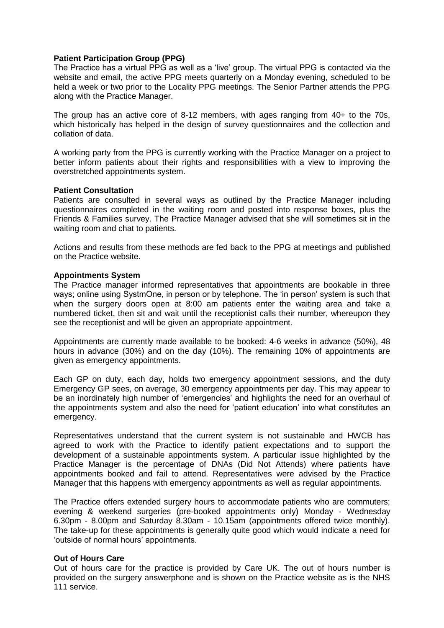#### **Patient Participation Group (PPG)**

The Practice has a virtual PPG as well as a 'live' group. The virtual PPG is contacted via the website and email, the active PPG meets quarterly on a Monday evening, scheduled to be held a week or two prior to the Locality PPG meetings. The Senior Partner attends the PPG along with the Practice Manager.

The group has an active core of 8-12 members, with ages ranging from 40+ to the 70s, which historically has helped in the design of survey questionnaires and the collection and collation of data.

A working party from the PPG is currently working with the Practice Manager on a project to better inform patients about their rights and responsibilities with a view to improving the overstretched appointments system.

#### **Patient Consultation**

Patients are consulted in several ways as outlined by the Practice Manager including questionnaires completed in the waiting room and posted into response boxes, plus the Friends & Families survey. The Practice Manager advised that she will sometimes sit in the waiting room and chat to patients.

Actions and results from these methods are fed back to the PPG at meetings and published on the Practice website.

#### **Appointments System**

The Practice manager informed representatives that appointments are bookable in three ways; online using SystmOne, in person or by telephone. The 'in person' system is such that when the surgery doors open at 8:00 am patients enter the waiting area and take a numbered ticket, then sit and wait until the receptionist calls their number, whereupon they see the receptionist and will be given an appropriate appointment.

Appointments are currently made available to be booked: 4-6 weeks in advance (50%), 48 hours in advance (30%) and on the day (10%). The remaining 10% of appointments are given as emergency appointments.

Each GP on duty, each day, holds two emergency appointment sessions, and the duty Emergency GP sees, on average, 30 emergency appointments per day. This may appear to be an inordinately high number of 'emergencies' and highlights the need for an overhaul of the appointments system and also the need for 'patient education' into what constitutes an emergency.

Representatives understand that the current system is not sustainable and HWCB has agreed to work with the Practice to identify patient expectations and to support the development of a sustainable appointments system. A particular issue highlighted by the Practice Manager is the percentage of DNAs (Did Not Attends) where patients have appointments booked and fail to attend. Representatives were advised by the Practice Manager that this happens with emergency appointments as well as regular appointments.

The Practice offers extended surgery hours to accommodate patients who are commuters; evening & weekend surgeries (pre-booked appointments only) Monday - Wednesday 6.30pm - 8.00pm and Saturday 8.30am - 10.15am (appointments offered twice monthly). The take-up for these appointments is generally quite good which would indicate a need for 'outside of normal hours' appointments.

#### **Out of Hours Care**

Out of hours care for the practice is provided by Care UK. The out of hours number is provided on the surgery answerphone and is shown on the Practice website as is the NHS 111 service.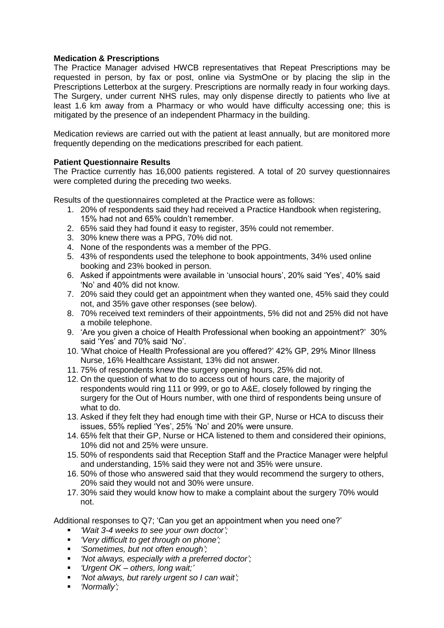#### **Medication & Prescriptions**

The Practice Manager advised HWCB representatives that Repeat Prescriptions may be requested in person, by fax or post, online via SystmOne or by placing the slip in the Prescriptions Letterbox at the surgery. Prescriptions are normally ready in four working days. The Surgery, under current NHS rules, may only dispense directly to patients who live at least 1.6 km away from a Pharmacy or who would have difficulty accessing one; this is mitigated by the presence of an independent Pharmacy in the building.

Medication reviews are carried out with the patient at least annually, but are monitored more frequently depending on the medications prescribed for each patient.

#### **Patient Questionnaire Results**

The Practice currently has 16,000 patients registered. A total of 20 survey questionnaires were completed during the preceding two weeks.

Results of the questionnaires completed at the Practice were as follows:

- 1. 20% of respondents said they had received a Practice Handbook when registering, 15% had not and 65% couldn't remember.
- 2. 65% said they had found it easy to register, 35% could not remember.
- 3. 30% knew there was a PPG, 70% did not.
- 4. None of the respondents was a member of the PPG.
- 5. 43% of respondents used the telephone to book appointments, 34% used online booking and 23% booked in person.
- 6. Asked if appointments were available in 'unsocial hours', 20% said 'Yes', 40% said 'No' and 40% did not know.
- 7. 20% said they could get an appointment when they wanted one, 45% said they could not, and 35% gave other responses (see below).
- 8. 70% received text reminders of their appointments, 5% did not and 25% did not have a mobile telephone.
- 9. 'Are you given a choice of Health Professional when booking an appointment?' 30% said 'Yes' and 70% said 'No'.
- 10. 'What choice of Health Professional are you offered?' 42% GP, 29% Minor Illness Nurse, 16% Healthcare Assistant, 13% did not answer.
- 11. 75% of respondents knew the surgery opening hours, 25% did not.
- 12. On the question of what to do to access out of hours care, the majority of respondents would ring 111 or 999, or go to A&E, closely followed by ringing the surgery for the Out of Hours number, with one third of respondents being unsure of what to do.
- 13. Asked if they felt they had enough time with their GP, Nurse or HCA to discuss their issues, 55% replied 'Yes', 25% 'No' and 20% were unsure.
- 14. 65% felt that their GP, Nurse or HCA listened to them and considered their opinions, 10% did not and 25% were unsure.
- 15. 50% of respondents said that Reception Staff and the Practice Manager were helpful and understanding, 15% said they were not and 35% were unsure.
- 16. 50% of those who answered said that they would recommend the surgery to others, 20% said they would not and 30% were unsure.
- 17. 30% said they would know how to make a complaint about the surgery 70% would not.

Additional responses to Q7; 'Can you get an appointment when you need one?'

- *'Wait 3-4 weeks to see your own doctor';*
- *'Very difficult to get through on phone';*
- *'Sometimes, but not often enough';*
- *'Not always, especially with a preferred doctor';*
- *'Urgent OK – others, long wait;'*
- *'Not always, but rarely urgent so I can wait';*
- *'Normally';*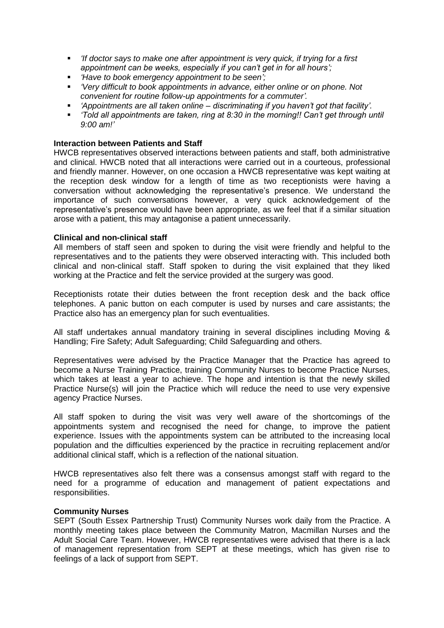- *'If doctor says to make one after appointment is very quick, if trying for a first appointment can be weeks, especially if you can't get in for all hours';*
- *'Have to book emergency appointment to be seen';*
- *'Very difficult to book appointments in advance, either online or on phone. Not convenient for routine follow-up appointments for a commuter'.*
- *'Appointments are all taken online – discriminating if you haven't got that facility'.*
- *'Told all appointments are taken, ring at 8:30 in the morning!! Can't get through until 9:00 am!'*

#### **Interaction between Patients and Staff**

HWCB representatives observed interactions between patients and staff, both administrative and clinical. HWCB noted that all interactions were carried out in a courteous, professional and friendly manner. However, on one occasion a HWCB representative was kept waiting at the reception desk window for a length of time as two receptionists were having a conversation without acknowledging the representative's presence. We understand the importance of such conversations however, a very quick acknowledgement of the representative's presence would have been appropriate, as we feel that if a similar situation arose with a patient, this may antagonise a patient unnecessarily.

#### **Clinical and non-clinical staff**

All members of staff seen and spoken to during the visit were friendly and helpful to the representatives and to the patients they were observed interacting with. This included both clinical and non-clinical staff. Staff spoken to during the visit explained that they liked working at the Practice and felt the service provided at the surgery was good.

Receptionists rotate their duties between the front reception desk and the back office telephones. A panic button on each computer is used by nurses and care assistants; the Practice also has an emergency plan for such eventualities.

All staff undertakes annual mandatory training in several disciplines including Moving & Handling; Fire Safety; Adult Safeguarding; Child Safeguarding and others.

Representatives were advised by the Practice Manager that the Practice has agreed to become a Nurse Training Practice, training Community Nurses to become Practice Nurses, which takes at least a year to achieve. The hope and intention is that the newly skilled Practice Nurse(s) will join the Practice which will reduce the need to use very expensive agency Practice Nurses.

All staff spoken to during the visit was very well aware of the shortcomings of the appointments system and recognised the need for change, to improve the patient experience. Issues with the appointments system can be attributed to the increasing local population and the difficulties experienced by the practice in recruiting replacement and/or additional clinical staff, which is a reflection of the national situation.

HWCB representatives also felt there was a consensus amongst staff with regard to the need for a programme of education and management of patient expectations and responsibilities.

#### **Community Nurses**

SEPT (South Essex Partnership Trust) Community Nurses work daily from the Practice. A monthly meeting takes place between the Community Matron, Macmillan Nurses and the Adult Social Care Team. However, HWCB representatives were advised that there is a lack of management representation from SEPT at these meetings, which has given rise to feelings of a lack of support from SEPT.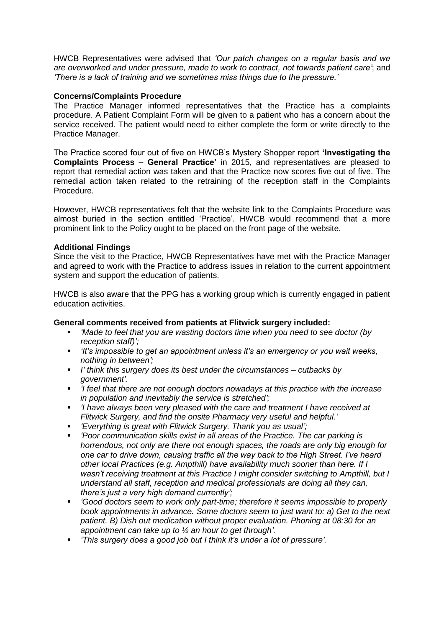HWCB Representatives were advised that *'Our patch changes on a regular basis and we are overworked and under pressure, made to work to contract, not towards patient care'*; and *'There is a lack of training and we sometimes miss things due to the pressure.'*

#### **Concerns/Complaints Procedure**

The Practice Manager informed representatives that the Practice has a complaints procedure. A Patient Complaint Form will be given to a patient who has a concern about the service received. The patient would need to either complete the form or write directly to the Practice Manager.

The Practice scored four out of five on HWCB's Mystery Shopper report **'Investigating the Complaints Process – General Practice'** in 2015, and representatives are pleased to report that remedial action was taken and that the Practice now scores five out of five. The remedial action taken related to the retraining of the reception staff in the Complaints Procedure.

However, HWCB representatives felt that the website link to the Complaints Procedure was almost buried in the section entitled 'Practice'. HWCB would recommend that a more prominent link to the Policy ought to be placed on the front page of the website.

#### **Additional Findings**

Since the visit to the Practice, HWCB Representatives have met with the Practice Manager and agreed to work with the Practice to address issues in relation to the current appointment system and support the education of patients.

HWCB is also aware that the PPG has a working group which is currently engaged in patient education activities.

#### **General comments received from patients at Flitwick surgery included:**

- *'Made to feel that you are wasting doctors time when you need to see doctor (by reception staff)';*
- *'It's impossible to get an appointment unless it's an emergency or you wait weeks, nothing in between';*
- *I' think this surgery does its best under the circumstances – cutbacks by government'.*
- *'I feel that there are not enough doctors nowadays at this practice with the increase in population and inevitably the service is stretched';*
- *'I have always been very pleased with the care and treatment I have received at Flitwick Surgery, and find the onsite Pharmacy very useful and helpful.'*
- *'Everything is great with Flitwick Surgery. Thank you as usual';*
- *'Poor communication skills exist in all areas of the Practice. The car parking is horrendous, not only are there not enough spaces, the roads are only big enough for one car to drive down, causing traffic all the way back to the High Street. I've heard other local Practices (e.g. Ampthill) have availability much sooner than here. If I wasn't receiving treatment at this Practice I might consider switching to Ampthill, but I understand all staff, reception and medical professionals are doing all they can, there's just a very high demand currently';*
- *'Good doctors seem to work only part-time; therefore it seems impossible to properly book appointments in advance. Some doctors seem to just want to: a) Get to the next patient. B) Dish out medication without proper evaluation. Phoning at 08:30 for an appointment can take up to ½ an hour to get through'.*
- *'This surgery does a good job but I think it's under a lot of pressure'.*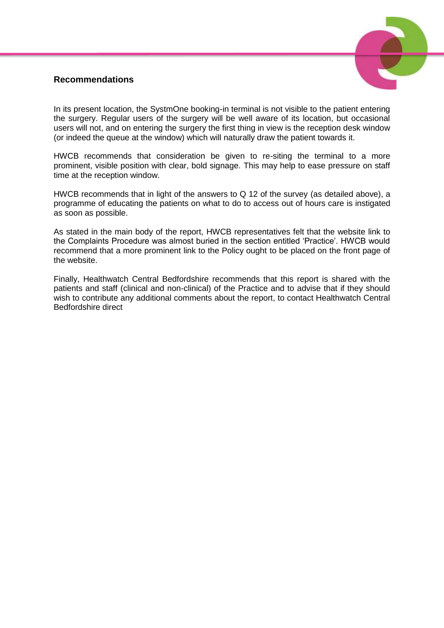# **Recommendations**



In its present location, the SystmOne booking-in terminal is not visible to the patient entering the surgery. Regular users of the surgery will be well aware of its location, but occasional users will not, and on entering the surgery the first thing in view is the reception desk window (or indeed the queue at the window) which will naturally draw the patient towards it.

HWCB recommends that consideration be given to re-siting the terminal to a more prominent, visible position with clear, bold signage. This may help to ease pressure on staff time at the reception window.

HWCB recommends that in light of the answers to Q 12 of the survey (as detailed above), a programme of educating the patients on what to do to access out of hours care is instigated as soon as possible.

As stated in the main body of the report, HWCB representatives felt that the website link to the Complaints Procedure was almost buried in the section entitled 'Practice'. HWCB would recommend that a more prominent link to the Policy ought to be placed on the front page of the website.

Finally, Healthwatch Central Bedfordshire recommends that this report is shared with the patients and staff (clinical and non-clinical) of the Practice and to advise that if they should wish to contribute any additional comments about the report, to contact Healthwatch Central Bedfordshire direct